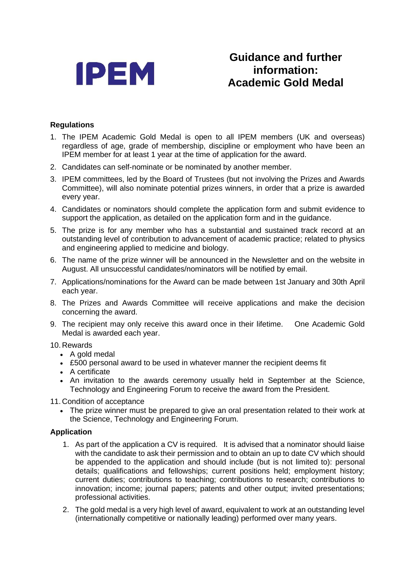

## **Guidance and further information: Academic Gold Medal**

## **Regulations**

- 1. The IPEM Academic Gold Medal is open to all IPEM members (UK and overseas) regardless of age, grade of membership, discipline or employment who have been an IPEM member for at least 1 year at the time of application for the award.
- 2. Candidates can self-nominate or be nominated by another member.
- 3. IPEM committees, led by the Board of Trustees (but not involving the Prizes and Awards Committee), will also nominate potential prizes winners, in order that a prize is awarded every year.
- 4. Candidates or nominators should complete the application form and submit evidence to support the application, as detailed on the application form and in the guidance.
- 5. The prize is for any member who has a substantial and sustained track record at an outstanding level of contribution to advancement of academic practice; related to physics and engineering applied to medicine and biology.
- 6. The name of the prize winner will be announced in the Newsletter and on the website in August. All unsuccessful candidates/nominators will be notified by email.
- 7. Applications/nominations for the Award can be made between 1st January and 30th April each year.
- 8. The Prizes and Awards Committee will receive applications and make the decision concerning the award.
- 9. The recipient may only receive this award once in their lifetime. One Academic Gold Medal is awarded each year.
- 10. Rewards
	- A gold medal
	- £500 personal award to be used in whatever manner the recipient deems fit
	- A certificate
	- An invitation to the awards ceremony usually held in September at the Science, Technology and Engineering Forum to receive the award from the President.
- 11. Condition of acceptance
	- The prize winner must be prepared to give an oral presentation related to their work at the Science, Technology and Engineering Forum.

## **Application**

- 1. As part of the application a CV is required. It is advised that a nominator should liaise with the candidate to ask their permission and to obtain an up to date CV which should be appended to the application and should include (but is not limited to): personal details; qualifications and fellowships; current positions held; employment history; current duties; contributions to teaching; contributions to research; contributions to innovation; income; journal papers; patents and other output; invited presentations; professional activities.
- 2. The gold medal is a very high level of award, equivalent to work at an outstanding level (internationally competitive or nationally leading) performed over many years.